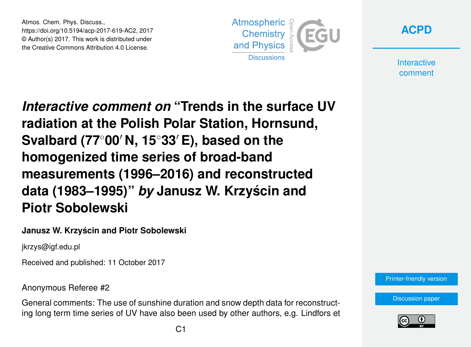Atmos. Chem. Phys. Discuss., https://doi.org/10.5194/acp-2017-619-AC2, 2017 © Author(s) 2017. This work is distributed under the Creative Commons Attribution 4.0 License.





**Interactive** comment

*Interactive comment on* **"Trends in the surface UV radiation at the Polish Polar Station, Hornsund, Svalbard (77<sup>◦</sup>00′ N, 15<sup>◦</sup>33′ E), based on the homogenized time series of broad-band measurements (1996–2016) and reconstructed data (1983–1995)"** *by* **Janusz W. Krzyscin and ´ Piotr Sobolewski**

#### **Janusz W. Krzyscin and Piotr Sobolewski ´**

jkrzys@igf.edu.pl

Received and published: 11 October 2017

Anonymous Referee #2

General comments: The use of sunshine duration and snow depth data for reconstructing long term time series of UV have also been used by other authors, e.g. Lindfors et



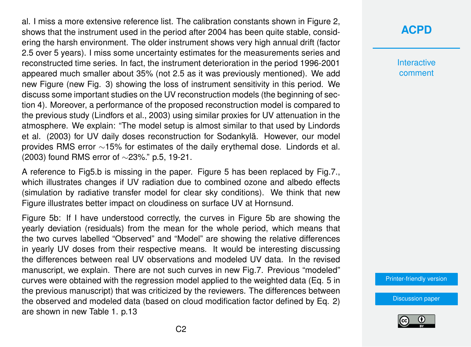al. I miss a more extensive reference list. The calibration constants shown in Figure 2, shows that the instrument used in the period after 2004 has been quite stable, considering the harsh environment. The older instrument shows very high annual drift (factor 2.5 over 5 years). I miss some uncertainty estimates for the measurements series and reconstructed time series. In fact, the instrument deterioration in the period 1996-2001 appeared much smaller about 35% (not 2.5 as it was previously mentioned). We add new Figure (new Fig. 3) showing the loss of instrument sensitivity in this period. We discuss some important studies on the UV reconstruction models (the beginning of section 4). Moreover, a performance of the proposed reconstruction model is compared to the previous study (Lindfors et al., 2003) using similar proxies for UV attenuation in the atmosphere. We explain: "The model setup is almost similar to that used by Lindords et al. (2003) for UV daily doses reconstruction for Sodankylä. However, our model provides RMS error ~15% for estimates of the daily erythemal dose. Lindords et al. (2003) found RMS error of ∼23%." p.5, 19-21.

A reference to Fig5.b is missing in the paper. Figure 5 has been replaced by Fig.7., which illustrates changes if UV radiation due to combined ozone and albedo effects (simulation by radiative transfer model for clear sky conditions). We think that new Figure illustrates better impact on cloudiness on surface UV at Hornsund.

Figure 5b: If I have understood correctly, the curves in Figure 5b are showing the yearly deviation (residuals) from the mean for the whole period, which means that the two curves labelled "Observed" and "Model" are showing the relative differences in yearly UV doses from their respective means. It would be interesting discussing the differences between real UV observations and modeled UV data. In the revised manuscript, we explain. There are not such curves in new Fig.7. Previous "modeled" curves were obtained with the regression model applied to the weighted data (Eq. 5 in the previous manuscript) that was criticized by the reviewers. The differences between the observed and modeled data (based on cloud modification factor defined by Eq. 2) are shown in new Table 1. p.13

## **[ACPD](https://www.atmos-chem-phys-discuss.net/)**

**Interactive** comment

[Printer-friendly version](https://www.atmos-chem-phys-discuss.net/acp-2017-619/acp-2017-619-AC2-print.pdf)

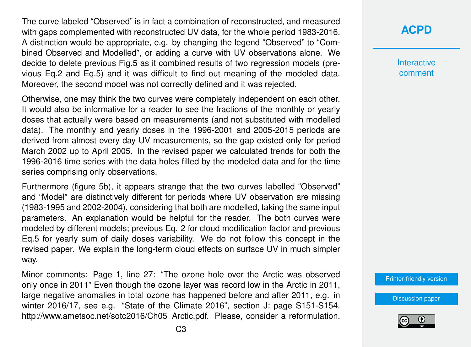The curve labeled "Observed" is in fact a combination of reconstructed, and measured with gaps complemented with reconstructed UV data, for the whole period 1983-2016. A distinction would be appropriate, e.g. by changing the legend "Observed" to "Combined Observed and Modelled", or adding a curve with UV observations alone. We decide to delete previous Fig.5 as it combined results of two regression models (previous Eq.2 and Eq.5) and it was difficult to find out meaning of the modeled data. Moreover, the second model was not correctly defined and it was rejected.

Otherwise, one may think the two curves were completely independent on each other. It would also be informative for a reader to see the fractions of the monthly or yearly doses that actually were based on measurements (and not substituted with modelled data). The monthly and yearly doses in the 1996-2001 and 2005-2015 periods are derived from almost every day UV measurements, so the gap existed only for period March 2002 up to April 2005. In the revised paper we calculated trends for both the 1996-2016 time series with the data holes filled by the modeled data and for the time series comprising only observations.

Furthermore (figure 5b), it appears strange that the two curves labelled "Observed" and "Model" are distinctively different for periods where UV observation are missing (1983-1995 and 2002-2004), considering that both are modelled, taking the same input parameters. An explanation would be helpful for the reader. The both curves were modeled by different models; previous Eq. 2 for cloud modification factor and previous Eq.5 for yearly sum of daily doses variability. We do not follow this concept in the revised paper. We explain the long-term cloud effects on surface UV in much simpler way.

Minor comments: Page 1, line 27: "The ozone hole over the Arctic was observed only once in 2011" Even though the ozone layer was record low in the Arctic in 2011, large negative anomalies in total ozone has happened before and after 2011, e.g. in winter 2016/17, see e.g. "State of the Climate 2016", section J: page S151-S154. http://www.ametsoc.net/sotc2016/Ch05\_Arctic.pdf. Please, consider a reformulation.

## **[ACPD](https://www.atmos-chem-phys-discuss.net/)**

**Interactive** comment

[Printer-friendly version](https://www.atmos-chem-phys-discuss.net/acp-2017-619/acp-2017-619-AC2-print.pdf)

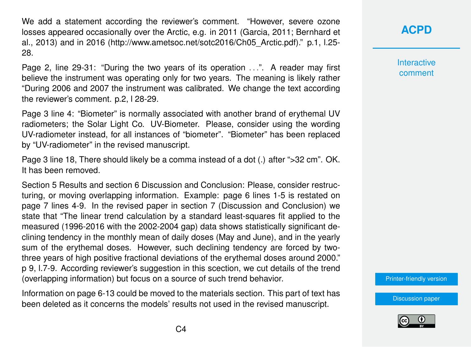We add a statement according the reviewer's comment. "However, severe ozone losses appeared occasionally over the Arctic, e.g. in 2011 (Garcia, 2011; Bernhard et al., 2013) and in 2016 (http://www.ametsoc.net/sotc2016/Ch05\_Arctic.pdf)." p.1, l.25- 28.

Page 2, line 29-31: "During the two years of its operation . . .". A reader may first believe the instrument was operating only for two years. The meaning is likely rather "During 2006 and 2007 the instrument was calibrated. We change the text according the reviewer's comment. p.2, l 28-29.

Page 3 line 4: "Biometer" is normally associated with another brand of erythemal UV radiometers; the Solar Light Co. UV-Biometer. Please, consider using the wording UV-radiometer instead, for all instances of "biometer". "Biometer" has been replaced by "UV-radiometer" in the revised manuscript.

Page 3 line 18, There should likely be a comma instead of a dot (.) after ">32 cm". OK. It has been removed.

Section 5 Results and section 6 Discussion and Conclusion: Please, consider restructuring, or moving overlapping information. Example: page 6 lines 1-5 is restated on page 7 lines 4-9. In the revised paper in section 7 (Discussion and Conclusion) we state that "The linear trend calculation by a standard least-squares fit applied to the measured (1996-2016 with the 2002-2004 gap) data shows statistically significant declining tendency in the monthly mean of daily doses (May and June), and in the yearly sum of the erythemal doses. However, such declining tendency are forced by twothree years of high positive fractional deviations of the erythemal doses around 2000." p 9, l.7-9. According reviewer's suggestion in this scection, we cut details of the trend (overlapping information) but focus on a source of such trend behavior.

Information on page 6-13 could be moved to the materials section. This part of text has been deleted as it concerns the models' results not used in the revised manuscript.

#### **[ACPD](https://www.atmos-chem-phys-discuss.net/)**

**Interactive** comment

[Printer-friendly version](https://www.atmos-chem-phys-discuss.net/acp-2017-619/acp-2017-619-AC2-print.pdf)